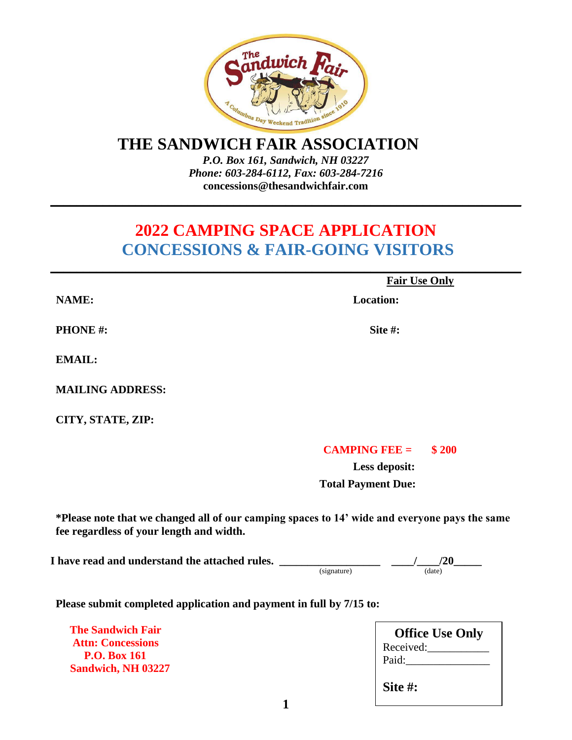

### **THE SANDWICH FAIR ASSOCIATION**

*P.O. Box 161, Sandwich, NH 03227 Phone: 603-284-6112, Fax: 603-284-7216*  **concessions@thesandwichfair.com**

**\_\_\_\_\_\_\_\_\_\_\_\_\_\_\_\_\_\_\_\_\_\_\_\_\_\_\_\_\_\_\_\_\_\_\_\_\_\_\_\_\_\_\_\_\_\_\_\_\_\_\_\_\_\_\_\_\_\_\_\_\_\_\_\_\_\_\_\_\_\_\_\_**

## **2022 CAMPING SPACE APPLICATION CONCESSIONS & FAIR-GOING VISITORS**

**\_\_\_\_\_\_\_\_\_\_\_\_\_\_\_\_\_\_\_\_\_\_\_\_\_\_\_\_\_\_\_\_\_\_\_\_\_\_\_\_\_\_\_\_\_\_\_\_\_\_\_\_\_\_\_\_\_\_\_\_\_\_\_\_\_\_\_\_\_\_\_\_**

 **Fair Use Only**

 **NAME: Location:** 

**PHONE** #: Site #:

**EMAIL:**

**MAILING ADDRESS:**

**CITY, STATE, ZIP:**

### **CAMPING FEE = \$ 200**

**Less deposit: Total Payment Due:**

**\*Please note that we changed all of our camping spaces to 14' wide and everyone pays the same fee regardless of your length and width.**

I have read and understand the attached rules. \_\_\_\_\_\_

| (signature) |
|-------------|

 $\frac{1}{\text{(date)}}$ 

**Please submit completed application and payment in full by 7/15 to:**

 **The Sandwich Fair Attn: Concessions P.O. Box 161 Sandwich, NH 03227**

| <b>Office Use Only</b> |
|------------------------|
| Received:              |
| Paid:                  |
|                        |
| Site #:                |